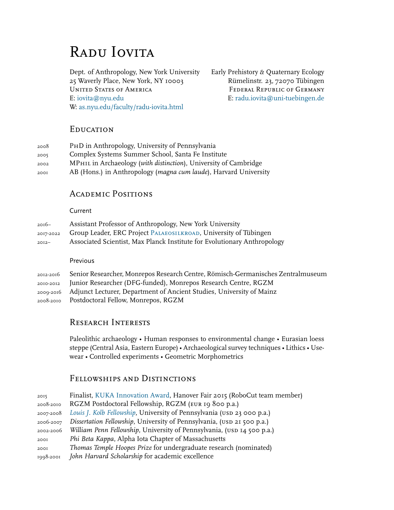# RADU IOVITA

Dept. of Anthropology, New York University Early Prehistory *&* Quaternary Ecology 25 Waverly Place, New York, NY 10003 Rümelinstr. 23, 72070 Tübingen UNITED STATES OF AMERICA FEDERAL REPUBLIC OF GERMANY E: iovita@nyu.edu E: radu.iovita@uni-tuebingen.de W: [as.nyu.edu/faculty/radu-iovita.html](https://as.nyu.edu/content/nyu-as/as/faculty/radu-iovita.html)

# **EDUCATION**

| 2008 | PHD in Anthropology, University of Pennsylvania                  |
|------|------------------------------------------------------------------|
| 2005 | Complex Systems Summer School, Santa Fe Institute                |
| 2002 | MPHIL in Archaeology (with distinction), University of Cambridge |
| 2001 | AB (Hons.) in Anthropology (magna cum laude), Harvard University |

# Academic Positions

# Current

| 2016–     | Assistant Professor of Anthropology, New York University                 |
|-----------|--------------------------------------------------------------------------|
| 2017-2022 | Group Leader, ERC Project PALAEOSILKROAD, University of Tübingen         |
| $20I2 -$  | Associated Scientist, Max Planck Institute for Evolutionary Anthropology |

Previous

| 2012-2016 Senior Researcher, Monrepos Research Centre, Römisch-Germanisches Zentralmuseum |
|-------------------------------------------------------------------------------------------|
| 2010-2012 Junior Researcher (DFG-funded), Monrepos Research Centre, RGZM                  |
| 2009-2016 Adjunct Lecturer, Department of Ancient Studies, University of Mainz            |
| 2008-2010 Postdoctoral Fellow, Monrepos, RGZM                                             |

# Research Interests

Paleolithic archaeology • Human responses to environmental change • Eurasian loess steppe (Central Asia, Eastern Europe) • Archaeological survey techniques • Lithics • Usewear • Controlled experiments • Geometric Morphometrics

# Fellowships and Distinctions

| 2015      | Finalist, KUKA Innovation Award, Hanover Fair 2015 (RoboCut team member) |
|-----------|--------------------------------------------------------------------------|
| 2008-2010 | RGZM Postdoctoral Fellowship, RGZM (EUR 19 800 p.a.)                     |
| 2007-2008 | Louis J. Kolb Fellowship, University of Pennsylvania (USD 23 000 p.a.)   |
| 2006-2007 | Dissertation Fellowship, University of Pennsylvania, (USD 21 500 p.a.)   |
| 2002-2006 | William Penn Fellowship, University of Pennsylvania, (USD 14 500 p.a.)   |
| 2001      | Phi Beta Kappa, Alpha Iota Chapter of Massachusetts                      |
| 2001      | Thomas Temple Hoopes Prize for undergraduate research (nominated)        |
| 1998-2001 | John Harvard Scholarship for academic excellence                         |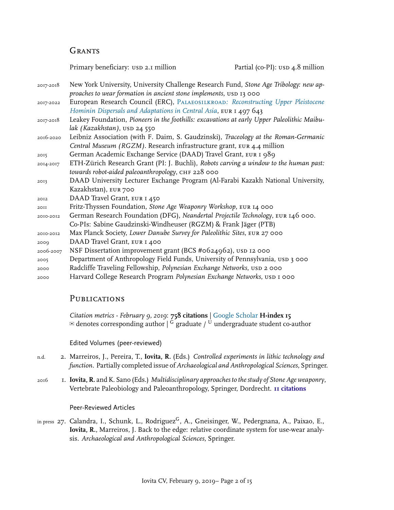# **GRANTS**

Primary beneficiary: usd 2.1 million Partial (co-PI): usd 4.8 million

- 2017-2018 New York University, University Challenge Research Fund, *Stone Age Tribology: new approaches to wear formation in ancient stone implements, usp 13 000*
- 2017-2022 European Research Council (ERC), Palaeosilkroad*[: Reconstructing Upper Pleistocene](https://www.palaeosilkroad.eu) [Hominin Dispersals and Adaptations in Central Asia](https://www.palaeosilkroad.eu)*, eur 1 497 643
- 2017-2018 Leakey Foundation, *Pioneers in the foothills: excavations at early Upper Paleolithic Maibulak (Kazakhstan)*, usp 24 550
- 2016-2020 Leibniz Association (with F. Daim, S. Gaudzinski), *Traceology at the Roman-Germanic Central Museum (RGZM)*. Research infrastructure grant, eur 4.4 million
- <sup>2015</sup> German Academic Exchange Service (DAAD) Travel Grant, eur 1 989
- 2014-2017 ETH-Zürich Research Grant (PI: J. Buchli), *Robots carving a window to the human past: towards robot-aided paleoanthropology*, CHF 228 000
- 2013 DAAD University Lecturer Exchange Program (Al-Farabi Kazakh National University, Kazakhstan), eur 700
- <sup>2012</sup> DAAD Travel Grant, eur 1 450
- <sup>2011</sup> Fritz-Thyssen Foundation, *Stone Age Weaponry Workshop*, eur 14 000
- 2010-2012 German Research Foundation (DFG), *Neandertal Projectile Technology*, eur 146 000. Co-PIs: Sabine Gaudzinski-Windheuser (RGZM) & Frank Jäger (PTB)
- 2010-2012 Max Planck Society, *Lower Danube Survey for Paleolithic Sites*, eur 27 000
- <sup>2009</sup> DAAD Travel Grant, eur 1 400
- 2006-2007 NSF Dissertation improvement grant (BCS #0624962), usd 12 000
- <sup>2005</sup> Department of Anthropology Field Funds, University of Pennsylvania, usp 3 000
- <sup>2000</sup> Radcliffe Traveling Fellowship, *Polynesian Exchange Networks*, usd 2 000
- <sup>2000</sup> Harvard College Research Program *Polynesian Exchange Networks*, usd 1 000

# **PUBLICATIONS**

*Citation metrics - February 9, 2019*: **758 citations** | [Google Scholar](https://scholar.google.de/citations?user=FXdPCQEAAAAJ&hl=de&oi=ao) **H-index 15**  $\approx$  denotes corresponding author  $\mid$  G graduate  $\mid$  U undergraduate student co-author

Edited Volumes (peer-reviewed)

- n.d. 2. Marreiros, J., Pereira, T., **Iovita, R.** (Eds.) *Controlled experiments in lithic technology and function*. Partially completed issue of*Archaeological and Anthropological Sciences*, Springer.
- 2016 1. **Iovita, R.** and K. Sano (Eds.) *Multidisciplinary approaches to the study of Stone Age weaponry*, Vertebrate Paleobiology and Paleoanthropology, Springer, Dordrecht. **11 citations**

## Peer-Reviewed Articles

in press 27. Calandra, I., Schunk, L., Rodriguez<sup>G</sup>, A., Gneisinger, W., Pedergnana, A., Paixao, E., **Iovita, R.**, Marreiros, J. Back to the edge: relative coordinate system for use-wear analysis. *Archaeological and Anthropological Sciences*, Springer.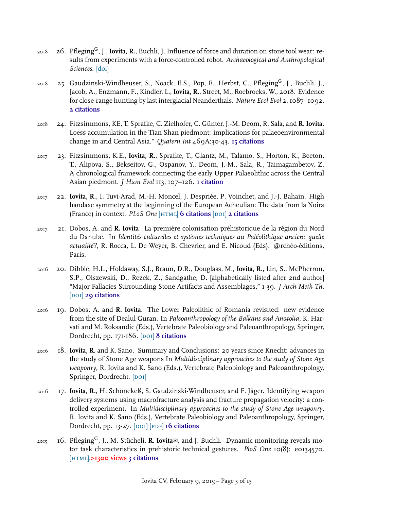- <sup>2018</sup> 26. PflegingG, J., **Iovita, R.**, Buchli, J. Influence of force and duration on stone tool wear: results from experiments with a force-controlled robot. *Archaeological and Anthropological Sciences*. [[doi\]](https://doi.org/10.1007/s12520-018-0729-0)
- <sup>2018</sup> 25. Gaudzinski-Windheuser, S., Noack, E.S., Pop, E., Herbst, C., PflegingG, J., Buchli, J., Jacob, A., Enzmann, F., Kindler, L., **Iovita, R.**, Street, M., Roebroeks, W., 2018. Evidence for close-range hunting by last interglacial Neanderthals. *Nature Ecol Evol* 2, 1087–1092. **2 citations**
- 2018 24. Fitzsimmons, KE, T. Sprafke, C. Zielhofer, C. Günter, J.-M. Deom, R. Sala, and **R. Iovita**. Loess accumulation in the Tian Shan piedmont: implications for palaeoenvironmental change in arid Central Asia." *Quatern Int* 469A:30-43. **15 citations**
- 2017 23. Fitzsimmons, K.E., **Iovita, R.**, Sprafke, T., Glantz, M., Talamo, S., Horton, K., Beeton, T., Alipova, S., Bekseitov, G., Ospanov, Y., Deom, J.-M., Sala, R., Taimagambetov, Z. A chronological framework connecting the early Upper Palaeolithic across the Central Asian piedmont. *J Hum Evol* 113, 107–126. **1 citation**
- 2017 22. **Iovita, R.**, I. Tuvi-Arad, M.-H. Moncel, J. Despriée, P. Voinchet, and J.-J. Bahain. High handaxe symmetry at the beginning of the European Acheulian: The data from la Noira (France) in context. *PLoS One* [\[html\]](http://dx.doi.org/10.1371/journal.pone.0177063) **6 citations** [\[doi\]](http://dx.doi.org/10.1007/s10816-016-9297-8) **2 citations**
- 2017 21. Dobos, A. and **R. Iovita** La première colonisation préhistorique de la région du Nord du Danube. In *Identités culturelles et systèmes techniques au Paléolithique ancien: quelle actualité?*, R. Rocca, L. De Weyer, B. Chevrier, and E. Nicoud (Eds). @rchéo-éditions, Paris.
- 2016 20. Dibble, H.L., Holdaway, S.J., Braun, D.R., Douglass, M., **Iovita, R.**, Lin, S., McPherron, S.P., Olszewski, D., Rezek, Z., Sandgathe, D. [alphabetically listed after 2nd author] "Major Fallacies Surrounding Stone Artifacts and Assemblages," 1-39. *J Arch Meth Th*. [DOI] **29 citations**
- 2016 19. Dobos, A. and **R. Iovita**. The Lower Paleolithic of Romania revisited: new evidence from the site of Dealul Guran. In *Paleoanthropology of the Balkans and Anatolia*, K. Harvati and M. Roksandic (Eds.), Vertebrate Paleobiology and Paleoanthropology, Springer, Dordrecht, pp. 171-186. [DOI] 8 citations
- 2016 18. **Iovita, R.** and K. Sano. Summary and Conclusions: 20 years since Knecht: advances in the study of Stone Age weapons In *Multidisciplinary approaches to the study of Stone Age weaponry*, R. Iovita and K. Sano (Eds.), Vertebrate Paleobiology and Paleoanthropology, Springer, Dordrecht. [DOI]
- 2016 17. **Iovita, R.**, H. Schönekeß, S. Gaudzinski-Windheuser, and F. Jäger. Identifying weapon delivery systems using macrofracture analysis and fracture propagation velocity: a controlled experiment. In *Multidisciplinary approaches to the study of Stone Age weaponry*, R. Iovita and K. Sano (Eds.), Vertebrate Paleobiology and Paleoanthropology, Springer, Dordrecht, pp. 13-27. [DOI] [PDF] 16 citations
- <sup>2015</sup> 16. PflegingG, J., M. Stücheli, **R. Iovita**✉, and J. Buchli. Dynamic monitoring reveals motor task characteristics in prehistoric technical gestures. *PloS One* 10(8): e0134570. [\[html\]](http://journals.plos.org/plosone/article?id=10.1371/journal.pone.0134570).**>1300 views 3 citations**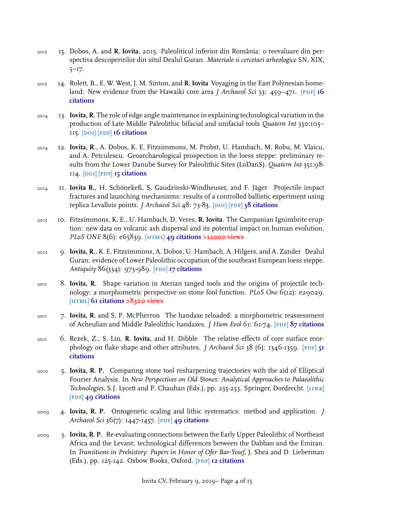- 2015 15. Dobos, A. and **R. Iovita**, 2015. Paleoliticul inferior din România: o reevaluare din perspectiva descoperirilor din situl Dealul Guran. *Materiale si cercetari arheologice* SN. XIX, 5–17.
- 2015 14. Rolett, B., E. W. West, J. M. Sinton, and **R. Iovita** Voyaging in the East Polynesian homeland: New evidence from the Hawaiki core area *J Archaeol Sci* 53: 459–471. [PDF] 16 **citations**
- 2014 13. **Iovita, R.** The role of edge angle maintenance in explaining technological variation in the production of Late Middle Paleolithic bifacial and unifacial tools *Quatern Int* 350:105– 115. [\[doi\]](http://dx.doi.org/10.1016/j.quaint.2014.08.032) [\[pdf\]](https://www.academia.edu/8267544/The_role_of_edge_angle_maintenance_in_explaining_technological_variation_in_the_production_of_Late_Middle_Paleolithic_bifacial_and_unifacial_tools) **16 citations**
- 2014 12. **Iovita, R.**, A. Dobos, K. E. Fitzsimmons, M. Probst, U. Hambach, M. Robu, M. Vlaicu, and A. Petculescu. Geoarchaeological prospection in the loess steppe: preliminary results from the Lower Danube Survey for Paleolithic Sites (LoDanS). *Quatern Int* 351:98- 114. [\[doi\]](http://dx.doi.org/10.1016/j.quaint.2013.05.018) [\[pdf\]](http://academia.edu/3655538/Geoarchaeological_prospection_in_the_loess_steppe_Preliminary_results_from_the_Lower_Danube_Survey_for_Paleolithic_Sites_LoDanS_) **15 citations**
- 2014 11. **Iovita R.**, H. Schönekeß, S. Gaudzinski-Windheuser, and F. Jäger Projectile impact fractures and launching mechanisms: results of a controlled ballistic experiment using replica Levallois points. *J Archaeol Sci 48*: 73-83. [DOI] [PDF] 38 citations
- 2013 10. Fitzsimmons, K. E., U. Hambach, D. Veres, **R. Iovita**. The Campanian Ignimbrite eruption: new data on volcanic ash dispersal and its potential impact on human evolution. *PLoS ONE* 8(6): e65839. [\[html\]](http://dx.doi.org/10.1371/journal.pone.0065839) **49 citations >12000 views**
- 2012 9. **Iovita, R.**, K. E. Fitzsimmons, A. Dobos, U. Hambach, A. Hilgers, and A. Zander Dealul Guran: evidence of Lower Paleolithic occupation of the southeast European loess steppe. *Antiquity* 86(334): 973-989. [\[pdf\]](http://rgzm.academia.edu/RaduIovita/Papers/1835276/Dealul_Guran_evidence_for_Lower_Paleolithic_MIS_11_occupation_of_the_Lower_Danube_loess_steppe) **17 citations**
- 2011 8. **Iovita, R.** Shape variation in Aterian tanged tools and the origins of projectile technology: a morphometric perspective on stone fool function. *PLoS One* 6(12): e29029. [\[html\]](http://dx.plos.org/10.1371/journal.pone.0029029) **61 citations >8300 views**
- 2011 7. **Iovita, R.** and S. P. McPherron The handaxe reloaded: a morphometric reassessment of Acheulian and Middle Paleolithic handaxes. *J Hum Evol* 61: 61-74. [\[pdf\]](http://rgzm.academia.edu/RaduIovita/Papers/450888/The_handaxe_reloaded_a_morphometric_reassessment_of_Acheulian_and_Middle_Paleolithic_handaxes) **87 citations**
- 2011 6. Rezek, Z., S. Lin, **R. Iovita**, and H. Dibble The relative effects of core surface morphology on flake shape and other attributes. *J Archaeol Sci* 38 (6): 1346-1359. [PDF] 51 **citations**
- 2010 5. **Iovita, R. P.** Comparing stone tool resharpening trajectories with the aid of Elliptical Fourier Analysis. In *New Perspectives on Old Stones: Analytical Approaches to Palaeolithic Technologies*, S.J. Lycett and P. Chauhan (Eds.), pp. 235-253. Springer, Dordrecht. [\[link\]](http://www.springerlink.com/content/l6818w8277xj753k/) [\[pdf\]](http://ow.ly/REbrh) **49 citations**
- 2009 4. **Iovita, R. P.** Ontogenetic scaling and lithic systematics: method and application. *J Archaeol Sci* 36(7): 1447-1457. [\[pdf\]](https://sites.google.com/site/raduiovita/IovitaOntogeneticScalingJAS2009.pdf?attredirects=0) **49 citations**
- 2009 3. **Iovita, R. P.** Re-evaluating connections between the Early Upper Paleolithic of Northeast Africa and the Levant: technological differences between the Dabban and the Emiran. In *Transitions in Prehistory: Papers in Honor of Ofer Bar-Yosef*, J. Shea and D. Lieberman (Eds.), pp. 125-142. Oxbow Books, Oxford. [\[pdf\]](https://www.academia.edu/attachments/3239782/download_file?st=MTQ0NDMzNDAzMywxNzguMjUuMjAuODIsMjE4MzYz&s=profile) **12 citations**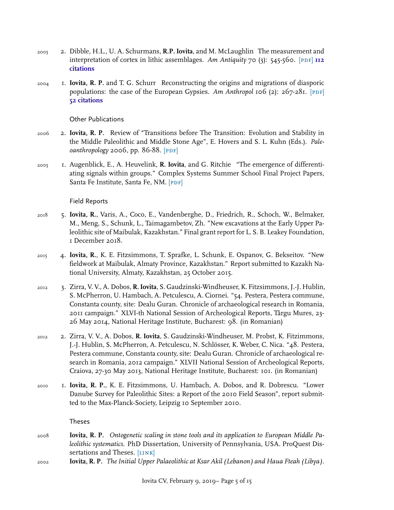- 2005 2. Dibble, H.L., U. A. Schurmans, **R.P. Iovita**, and M. McLaughlin The measurement and interpretation of cortex in lithic assemblages. Am Antiquity 70 (3): 545-560. [PDF] **112 citations**
- 2004 1. **Iovita, R. P.** and T. G. Schurr Reconstructing the origins and migrations of diasporic populations: the case of the European Gypsies. Am Anthropol 106 (2):  $267-281$ . [PDF] **52 citations**

Other Publications

- 2006 2. **Iovita, R. P.** Review of "Transitions before The Transition: Evolution and Stability in the Middle Paleolithic and Middle Stone Age", E. Hovers and S. L. Kuhn (Eds.). *Paleoanthropology* 2006, pp. 86-88. [PDF]
- 2005 1. Augenblick, E., A. Heuvelink, **R. Iovita**, and G. Ritchie "The emergence of differentiating signals within groups." Complex Systems Summer School Final Project Papers, Santa Fe Institute, Santa Fe, NM. [PDF]

Field Reports

- 2018 5. **Iovita, R.**, Varis, A., Coco, E., Vandenberghe, D., Friedrich, R., Schoch, W., Belmaker, M., Meng, S., Schunk, L., Taimagambetov, Zh. "New excavations at the Early Upper Paleolithic site of Maibulak, Kazakhstan." Final grant report for L. S. B. Leakey Foundation, 1 December 2018.
- 2015 4. **Iovita, R.**, K. E. Fitzsimmons, T. Sprafke, L. Schunk, E. Ospanov, G. Bekseitov. "New fieldwork at Maibulak, Almaty Province, Kazakhstan." Report submitted to Kazakh National University, Almaty, Kazakhstan, 25 October 2015.
- 2012 3. Zirra, V. V., A. Dobos, **R. Iovita**, S. Gaudzinski-Windheuser, K. Fitzsimmons, J.-J. Hublin, S. McPherron, U. Hambach, A. Petculescu, A. Ciornei. "54. Pestera, Pestera commune, Constanta county, site: Dealu Guran. Chronicle of archaeological research in Romania, 2011 campaign." XLVI-th National Session of Archeological Reports, Târgu Mures, 23- 26 May 2014, National Heritage Institute, Bucharest: 98. (in Romanian)
- 2012 2. Zirra, V. V., A. Dobos, **R. Iovita**, S. Gaudzinski-Windheuser, M. Probst, K. Fitzimmons, J.-J. Hublin, S. McPherron, A. Petculescu, N. Schlösser, K. Weber, C. Nica. "48. Pestera, Pestera commune, Constanta county, site: Dealu Guran. Chronicle of archaeological research in Romania, 2012 campaign." XLVII National Session of Archeological Reports, Craiova, 27-30 May 2013, National Heritage Institute, Bucharest: 101. (in Romanian)
- 2010 1. **Iovita, R. P.**, K. E. Fitzsimmons, U. Hambach, A. Dobos, and R. Dobrescu. "Lower Danube Survey for Paleolithic Sites: a Report of the 2010 Field Season", report submitted to the Max-Planck-Society, Leipzig 10 September 2010.

Theses

- 2008 **Iovita, R. P.** *Ontogenetic scaling in stone tools and its application to European Middle Paleolithic systematics*. PhD Dissertation, University of Pennsylvania, USA. ProQuest Dissertations and Theses. [LINK]
- 2002 **Iovita, R. P.** *The Initial Upper Palaeolithic at Ksar Akil (Lebanon) and Haua Fteah (Libya)*.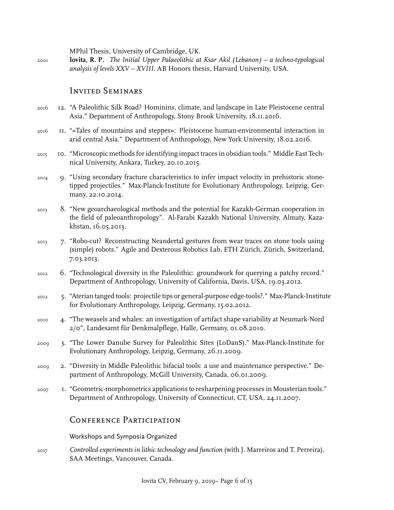MPhil Thesis, University of Cambridge, UK.

2001 **Iovita, R. P.** *The Initial Upper Palaeolithic at Ksar Akil (Lebanon) – a techno-typological analysis of levels XXV – XVIII*. AB Honors thesis, Harvard University, USA.

## Invited Seminars

- 2016 12. "A Paleolithic Silk Road? Hominins, climate, and landscape in Late Pleistocene central Asia." Department of Anthropology, Stony Brook University, 18.11.2016.
- 2016 11. "«Tales of mountains and steppes»: Pleistocene human-environmental interaction in arid central Asia." Department of Anthropology, New York University, 18.02.2016.
- 2015 10. "Microscopic methods for identifying impact traces in obsidian tools." Middle East Technical University, Ankara, Turkey, 20.10.2015.
- 2014 9. "Using secondary fracture characteristics to infer impact velocity in prehistoric stonetipped projectiles." Max-Planck-Institute for Evolutionary Anthropology, Leipzig, Germany, 22.10.2014.
- 2013 8. "New geoarchaeological methods and the potential for Kazakh-German cooperation in the field of paleoanthropology". Al-Farabi Kazakh National University, Almaty, Kazakhstan, 16.05.2013.
- 2013 7. "Robo-cut? Reconstructing Neandertal gestures from wear traces on stone tools using (simple) robots." Agile and Dexterous Robotics Lab, ETH Zürich, Zürich, Switzerland, 7.03.2013.
- 2012 6. "Technological diversity in the Paleolithic: groundwork for querying a patchy record." Department of Anthropology, University of California, Davis, USA, 19.03.2012.
- 2012 5. "Aterian tanged tools: projectile tips or general-purpose edge-tools?." Max-Planck-Institute for Evolutionary Anthropology, Leipzig, Germany, 15.02.2012.
- 2010 4. "The weasels and whales: an investigation of artifact shape variability at Neumark-Nord 2/0", Landesamt für Denkmalpflege, Halle, Germany, 01.08.2010.
- 2009 3. "The Lower Danube Survey for Paleolithic Sites (LoDanS)." Max-Planck-Institute for Evolutionary Anthropology, Leipzig, Germany, 26.11.2009.
- 2009 2. "Diversity in Middle Paleolithic bifacial tools: a use and maintenance perspective." Department of Anthropology, McGill University, Canada, 06.01.2009.
- 2007 1. "Geometric-morphometrics applications to resharpening processes in Mousterian tools." Department of Anthropology, University of Connecticut, CT, USA, 24.11.2007.

# Conference Participation

Workshops and Symposia Organized

2017 *Controlled experiments in lithic technology and function* (with J. Marreiros and T. Perreira), SAA Meetings, Vancouver, Canada.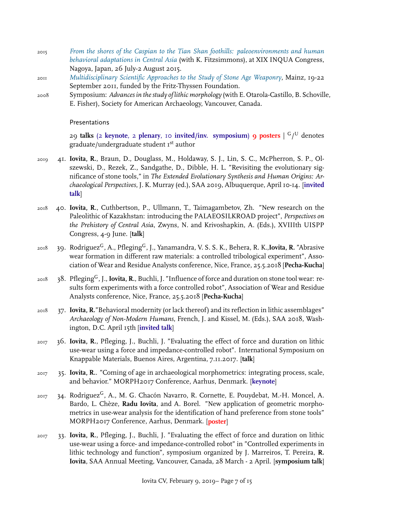- 2015 *[From the shores of the Caspian to the Tian Shan foothills: paleoenvironments and human](http://convention.jtbcom.co.jp/inqua2015/session/h21.html) [behavioral adaptations in Central Asia](http://convention.jtbcom.co.jp/inqua2015/session/h21.html)* (with K. Fitzsimmons), at XIX INQUA Congress, Nagoya, Japan, 26 July-2 August 2015.
- 2011 *[Multidisciplinary Scientific Approaches to the Study of Stone Age Weaponry](https://stoneageweaponry.wordpress.com/)*, Mainz, 19-22 September 2011, funded by the Fritz-Thyssen Foundation.
- 2008 Symposium: *Advances in the study of lithic morphology* (with E. Otarola-Castillo, B. Schoville, E. Fisher), Society for American Archaeology, Vancouver, Canada.

#### Presentations

29 **talks** (2 **keynote**, 2 **plenary**, 10 **invited/inv. symposium**) **9 posters** | G/ <sup>U</sup> denotes graduate/undergraduate student I<sup>st</sup> author

- 2019 41. **Iovita, R.**, Braun, D., Douglass, M., Holdaway, S. J., Lin, S. C., McPherron, S. P., Olszewski, D., Rezek, Z., Sandgathe, D., Dibble, H. L. "Revisiting the evolutionary significance of stone tools," in *The Extended Evolutionary Synthesis and Human Origins: Archaeological Perspectives*, J. K. Murray (ed.), SAA 2019, Albuquerque, April 10-14. [**invited talk**]
- 2018 40. **Iovita, R.**, Cuthbertson, P., Ullmann, T., Taimagambetov, Zh. "New research on the Paleolithic of Kazakhstan: introducing the PALAEOSILKROAD project", *Perspectives on the Prehistory of Central Asia*, Zwyns, N. and Krivoshapkin, A. (Eds.), XVIIIth UISPP Congress, 4-9 June. [**talk**]
- <sup>2018</sup> 39. RodriguezG, A., PflegingG, J., Yanamandra, V. S. S. K., Behera, R. K.,**Iovita, R.** "Abrasive wear formation in different raw materials: a controlled tribological experiment", Association of Wear and Residue Analysts conference, Nice, France, 25.5.2018 [**Pecha-Kucha**]
- <sup>2018</sup> 38. PflegingG, J., **Iovita, R.**, Buchli, J. "Influence of force and duration on stone tool wear: results form experiments with a force controlled robot", Association of Wear and Residue Analysts conference, Nice, France, 25.5.2018 [**Pecha-Kucha**]
- <sub>2018</sub> 37. **Iovita, R.**"Behavioral modernity (or lack thereof) and its reflection in lithic assemblages" *Archaeology of Non-Modern Humans*, French, J. and Kissel, M. (Eds.), SAA 2018, Washington, D.C. April 15th [**invited talk**]
- 2017 36. **Iovita, R.**, Pfleging, J., Buchli, J. "Evaluating the effect of force and duration on lithic use-wear using a force and impedance-controlled robot". International Symposium on Knappable Materials, Buenos Aires, Argentina, 7.11.2017. [**talk**]
- 2017 35. **Iovita, R.**. "Coming of age in archaeological morphometrics: integrating process, scale, and behavior." MORPH2017 Conference, Aarhus, Denmark. [**keynote**]
- 2017 34. Rodriguez<sup>G</sup>, A., M. G. Chacón Navarro, R. Cornette, E. Pouydebat, M.-H. Moncel, A. Bardo, L. Chèze, **Radu Iovita**, and A. Borel. "New application of geometric morphometrics in use-wear analysis for the identification of hand preference from stone tools" MORPH2017 Conference, Aarhus, Denmark. [**poster**]
- 2017 33. **Iovita, R.**, Pfleging, J., Buchli, J. "Evaluating the effect of force and duration on lithic use-wear using a force- and impedance-controlled robot" in "Controlled experiments in lithic technology and function", symposium organized by J. Marreiros, T. Pereira, **R. Iovita**, SAA Annual Meeting, Vancouver, Canada, 28 March - 2 April. [**symposium talk**]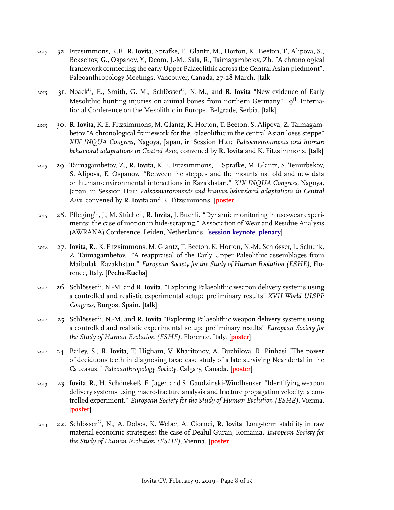- 2017 32. Fitzsimmons, K.E., **R. Iovita**, Sprafke, T., Glantz, M., Horton, K., Beeton, T., Alipova, S., Bekseitov, G., Ospanov, Y., Deom, J.-M., Sala, R., Taimagambetov, Zh. "A chronological framework connecting the early Upper Palaeolithic across the Central Asian piedmont". Paleoanthropology Meetings, Vancouver, Canada, 27-28 March. [**talk**]
- <sup>2015</sup> 31. NoackG, E., Smith, G. M., SchlösserG, N.-M., and **R. Iovita** "New evidence of Early Mesolithic hunting injuries on animal bones from northern Germany".  $9<sup>th</sup>$  International Conference on the Mesolithic in Europe. Belgrade, Serbia. [**talk**]
- 2015 30. **R. Iovita**, K. E. Fitzsimmons, M. Glantz, K. Horton, T. Beeton, S. Alipova, Z. Taimagambetov "A chronological framework for the Palaeolithic in the central Asian loess steppe" *XIX INQUA Congress*, Nagoya, Japan, in Session H21: *Paleoenvironments and human behavioral adaptations in Central Asia*, convened by **R. Iovita** and K. Fitzsimmons. [**talk**]
- 2015 29. Taimagambetov, Z., **R. Iovita**, K. E. Fitzsimmons, T. Sprafke, M. Glantz, S. Temirbekov, S. Alipova, E. Ospanov. "Between the steppes and the mountains: old and new data on human-environmental interactions in Kazakhstan." *XIX INQUA Congress*, Nagoya, Japan, in Session H21: *Paleoenvironments and human behavioral adaptations in Central Asia*, convened by **R. Iovita** and K. Fitzsimmons. [**poster**]
- <sup>2015</sup> 28. PflegingG, J., M. Stücheli, **R. Iovita**, J. Buchli. "Dynamic monitoring in use-wear experiments: the case of motion in hide-scraping." Association of Wear and Residue Analysis (AWRANA) Conference, Leiden, Netherlands. [**session keynote, plenary**]
- 2014 27. **Iovita, R.**, K. Fitzsimmons, M. Glantz, T. Beeton, K. Horton, N.-M. Schlösser, L. Schunk, Z. Taimagambetov. "A reappraisal of the Early Upper Paleolithic assemblages from Maibulak, Kazakhstan." *European Society for the Study of Human Evolution (ESHE)*, Florence, Italy. [**Pecha-Kucha**]
- <sup>2014</sup> 26. SchlösserG, N.-M. and **R. Iovita**. "Exploring Palaeolithic weapon delivery systems using a controlled and realistic experimental setup: preliminary results" *XVII World UISPP Congress*, Burgos, Spain. [**talk**]
- <sup>2014</sup> 25. SchlösserG, N.-M. and **R. Iovita** "Exploring Palaeolithic weapon delivery systems using a controlled and realistic experimental setup: preliminary results" *European Society for the Study of Human Evolution (ESHE)*, Florence, Italy. [**poster**]
- 2014 24. Bailey, S., **R. Iovita**, T. Higham, V. Kharitonov, A. Buzhilova, R. Pinhasi "The power of deciduous teeth in diagnosing taxa: case study of a late surviving Neandertal in the Caucasus." *Paleoanthropology Society*, Calgary, Canada. [**poster**]
- 2013 23. **Iovita, R.**, H. Schönekeß, F. Jäger, and S. Gaudzinski-Windheuser "Identifying weapon delivery systems using macro-fracture analysis and fracture propagation velocity: a controlled experiment." *European Society for the Study of Human Evolution (ESHE)*, Vienna. [**poster**]
- <sup>2013</sup> 22. SchlösserG, N., A. Dobos, K. Weber, A. Ciornei, **R. Iovita** Long-term stability in raw material economic strategies: the case of Dealul Guran, Romania. *European Society for the Study of Human Evolution (ESHE)*, Vienna. [**poster**]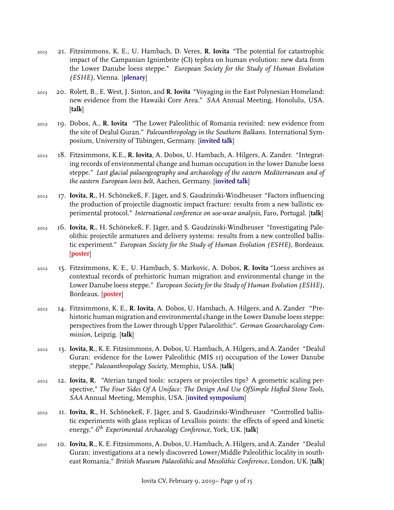- 2013 21. Fitzsimmons, K. E., U. Hambach, D. Veres, **R. Iovita** "The potential for catastrophic impact of the Campanian Ignimbrite (CI) tephra on human evolution: new data from the Lower Danube loess steppe." *European Society for the Study of Human Evolution (ESHE)*, Vienna. [**plenary**]
- 2013 20. Rolett, B., E. West, J. Sinton, and **R. Iovita** "Voyaging in the East Polynesian Homeland: new evidence from the Hawaiki Core Area." *SAA* Annual Meeting, Honolulu, USA. [**talk**]
- 2012 19. Dobos, A., **R. Iovita** "The Lower Paleolithic of Romania revisited: new evidence from the site of Dealul Guran." *Paleoanthropology in the Southern Balkans*. International Symposium, University of Tübingen, Germany. [**invited talk**]
- 2012 18. Fitzsimmons, K.E., **R. Iovita**, A. Dobos, U. Hambach, A. Hilgers, A. Zander. "Integrating records of environmental change and human occupation in the lower Danube loess steppe." *Last glacial palaeogeography and archaeology of the eastern Mediterranean and of the eastern European loess belt*, Aachen, Germany. [**invited talk**]
- 2012 17. **Iovita, R.**, H. Schönekeß, F. Jäger, and S. Gaudzinski-Windheuser "Factors influencing the production of projectile diagnostic impact fracture: results from a new ballistic experimental protocol." *International conference on use-wear analysis*, Faro, Portugal. [**talk**]
- 2012 16. **Iovita, R.**, H. Schönekeß, F. Jäger, and S. Gaudzinski-Windheuser "Investigating Paleolithic projectile armatures and delivery systems: results from a new controlled ballistic experiment." *European Society for the Study of Human Evolution (ESHE)*, Bordeaux. [**poster**]
- 2012 15. Fitzsimmons, K. E., U. Hambach, S. Markovic, A. Dobos, **R. Iovita** "Loess archives as contextual records of prehistoric human migration and environmental change in the Lower Danube loess steppe." *European Society for the Study of Human Evolution (ESHE)*, Bordeaux. [**poster**]
- 2012 14. Fitzsimmons, K. E., **R. Iovita**, A. Dobos, U. Hambach, A. Hilgers, and A. Zander "Prehistoric human migration and environmental change in the Lower Danube loess steppe: perspectives from the Lower through Upper Palaeolithic". *German Geoarchaeology Commission*, Leipzig. [**talk**]
- 2012 13. **Iovita, R.**, K. E. Fitzsimmons, A. Dobos, U. Hambach, A. Hilgers, and A. Zander "Dealul Guran: evidence for the Lower Paleolithic (MIS 11) occupation of the Lower Danube steppe," *Paleoanthropology Society*, Memphis, USA. [**talk**]
- 2012 12. **Iovita, R.** "Aterian tanged tools: scrapers or projectiles tips? A geometric scaling perspective," *The Four Sides Of A Uniface: The Design And Use OfSimple Hafted Stone Tools*, *SAA* Annual Meeting, Memphis, USA. [**invited symposium**]
- 2012 11. **Iovita, R.**, H. Schönekeß, F. Jäger, and S. Gaudzinski-Windheuser "Controlled ballistic experiments with glass replicas of Levallois points: the effects of speed and kinetic energy," *6 th Experimental Archaeology Conference*, York, UK. [**talk**]
- 2011 10. **Iovita, R.**, K. E. Fitzsimmons, A. Dobos, U. Hambach, A. Hilgers, and A. Zander "Dealul Guran: investigations at a newly discovered Lower/Middle Paleolithic locality in southeast Romania," *British Museum Palaeolithic and Mesolithic Conference*, London, UK. [**talk**]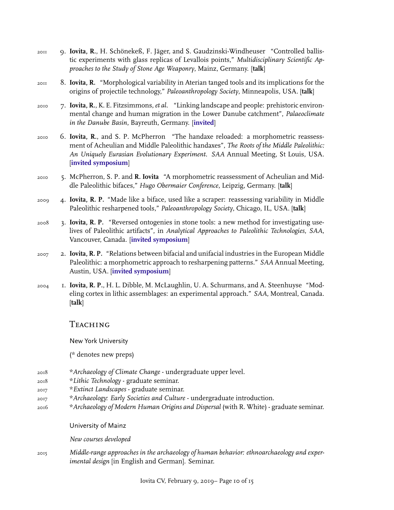- 2011 9. **Iovita, R.**, H. Schönekeß, F. Jäger, and S. Gaudzinski-Windheuser "Controlled ballistic experiments with glass replicas of Levallois points," *Multidisciplinary Scientific Approaches to the Study of Stone Age Weaponry*, Mainz, Germany. [**talk**]
- 2011 8. **Iovita, R.** "Morphological variability in Aterian tanged tools and its implications for the origins of projectile technology," *Paleoanthropology Society*, Minneapolis, USA. [**talk**]
- 2010 7. **Iovita, R.**, K. E. Fitzsimmons,*et al.* "Linking landscape and people: prehistoric environmental change and human migration in the Lower Danube catchment", *Palaeoclimate in the Danube Basin*, Bayreuth, Germany. [**invited**]
- 2010 6. **Iovita, R.**, and S. P. McPherron "The handaxe reloaded: a morphometric reassessment of Acheulian and Middle Paleolithic handaxes", *The Roots of the Middle Paleolithic: An Uniquely Eurasian Evolutionary Experiment*. *SAA* Annual Meeting, St Louis, USA. [**invited symposium**]
- 2010 5. McPherron, S. P. and **R. Iovita** "A morphometric reassessment of Acheulian and Middle Paleolithic bifaces," *Hugo Obermaier Conference*, Leipzig, Germany. [**talk**]
- 2009 4. **Iovita, R. P.** "Made like a biface, used like a scraper: reassessing variability in Middle Paleolithic resharpened tools," *Paleoanthropology Society*, Chicago, IL, USA. [**talk**]
- 2008 3. **Iovita, R. P.** "Reversed ontogenies in stone tools: a new method for investigating uselives of Paleolithic artifacts", in *Analytical Approaches to Paleolithic Technologies*, *SAA*, Vancouver, Canada. [**invited symposium**]
- 2007 2. **Iovita, R. P.** "Relations between bifacial and unifacial industries in the European Middle Paleolithic: a morphometric approach to resharpening patterns." *SAA* Annual Meeting, Austin, USA. [**invited symposium**]
- 2004 1. **Iovita, R. P.**, H. L. Dibble, M. McLaughlin, U. A. Schurmans, and A. Steenhuyse "Modeling cortex in lithic assemblages: an experimental approach." *SAA*, Montreal, Canada. [**talk**]

## Teaching

New York University

(\* denotes new preps)

- 2018 \**Archaeology of Climate Change* undergraduate upper level.
- 2018 \**Lithic Technology* graduate seminar.
- 2017 \**Extinct Landscapes* graduate seminar.
- 2017 \**Archaeology: Early Societies and Culture* undergraduate introduction.
- 2016 \**Archaeology of Modern Human Origins and Dispersal* (with R. White) graduate seminar.
	- University of Mainz

*New courses developed*

2015 *Middle-range approaches in the archaeology of human behavior: ethnoarchaeology and experimental design* [in English and German]. Seminar.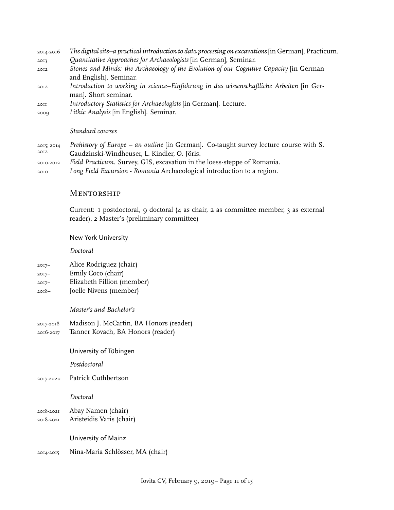- 2014-2016 *The digital site–a practical introduction to data processing on excavations* [in German], Practicum. 2013 *Quantitative Approaches for Archaeologists* [in German], Seminar. 2012 *Stones and Minds: the Archaeology of the Evolution of our Cognitive Capacity* [in German and English]. Seminar. 2012 *Introduction to working in science–Einführung in das wissenschaftliche Arbeiten* [in German]. Short seminar. 2011 *Introductory Statistics for Archaeologists* [in German]. Lecture.
- 2009 *Lithic Analysis* [in English]. Seminar.

#### *Standard courses*

- 2015; 2014 2012 *Prehistory of Europe – an outline* [in German]. Co-taught survey lecture course with S. Gaudzinski-Windheuser, L. Kindler, O. Jöris. 2010-2012 *Field Practicum*. Survey, GIS, excavation in the loess-steppe of Romania.
- 2010 *Long Field Excursion Romania* Archaeological introduction to a region.

## **MENTORSHIP**

Current: 1 postdoctoral, 9 doctoral (4 as chair, 2 as committee member, 3 as external reader), 2 Master's (preliminary committee)

New York University

*Doctoral*

- 2017– Alice Rodriguez (chair)
- 2017– Emily Coco (chair)
- 2017– Elizabeth Fillion (member)
- 2018– Joelle Nivens (member)

*Master's and Bachelor's*

- 2017-2018 Madison J. McCartin, BA Honors (reader)
- 2016-2017 Tanner Kovach, BA Honors (reader)
	- University of Tübingen

*Postdoctoral*

2017-2020 Patrick Cuthbertson

## *Doctoral*

- 2018-2021 Abay Namen (chair)
- 2018-2021 Aristeidis Varis (chair)

University of Mainz

2014-2015 Nina-Maria Schlösser, MA (chair)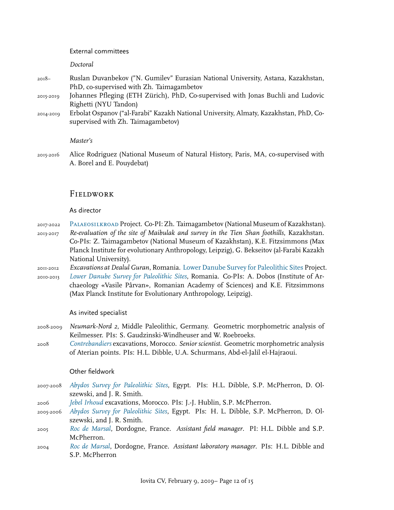#### External committees

*Doctoral*

- 2018– Ruslan Duvanbekov ("N. Gumilev" Eurasian National University, Astana, Kazakhstan, PhD, co-supervised with Zh. Taimagambetov
- 2015-2019 Johannes Pfleging (ETH Zürich), PhD, Co-supervised with Jonas Buchli and Ludovic Righetti (NYU Tandon)
- 2014-2019 Erbolat Ospanov ("al-Farabi" Kazakh National University, Almaty, Kazakhstan, PhD, Cosupervised with Zh. Taimagambetov)

#### *Master's*

2015-2016 Alice Rodriguez (National Museum of Natural History, Paris, MA, co-supervised with A. Borel and E. Pouydebat)

## **Fieldwork**

#### As director

- 2017-2022 [Palaeosilkroad](https://www.palaeosilkroad.eu/) Project. Co-PI: Zh. Taimagambetov (National Museum of Kazakhstan). 2013-2017 *Re-evaluation of the site of Maibulak and survey in the Tien Shan foothills*, Kazakhstan. Co-PIs: Z. Taimagambetov (National Museum of Kazakhstan), K.E. Fitzsimmons (Max Planck Institute for evolutionary Anthropology, Leipzig), G. Bekseitov (al-Farabi Kazakh National University).
- 2011-2012 *Excavations at Dealul Guran*, Romania. [Lower Danube Survey for Paleolithic Sites](http://lodans.wordpress.com/) Project. 2010-2013 *[Lower Danube Survey for Paleolithic Sites](http://lodans.wordpress.com/)*, Romania. Co-PIs: A. Dobos (Institute of Archaeology «Vasile Pârvan», Romanian Academy of Sciences) and K.E. Fitzsimmons (Max Planck Institute for Evolutionary Anthropology, Leipzig).

#### As invited specialist

- 2008-2009 *Neumark-Nord 2*, Middle Paleolithic, Germany. Geometric morphometric analysis of Keilmesser. PIs: S. Gaudzinski-Windheuser and W. Roebroeks.
- 2008 *[Contrebandiers](http://www.oldstoneage.com/smugglers/default.shtml)* excavations, Morocco. *Senior scientist*. Geometric morphometric analysis of Aterian points. PIs: H.L. Dibble, U.A. Schurmans, Abd-el-Jalil el-Hajraoui.

#### Other fieldwork

- 2007-2008 *[Abydos Survey for Paleolithic Sites](http://www.oldstoneage.com/abydos/default.shtml)*, Egypt. PIs: H.L. Dibble, S.P. McPherron, D. Olszewski, and J. R. Smith.
- 2006 *[Jebel Irhoud](http://www.eva.mpg.de/evolution/files/irhoud.htm)* excavations, Morocco. PIs: J.-J. Hublin, S.P. McPherron.
- 2005-2006 *[Abydos Survey for Paleolithic Sites](http://www.oldstoneage.com/abydos/default.shtml)*, Egypt. PIs: H. L. Dibble, S.P. McPherron, D. Olszewski, and J. R. Smith.
- 2005 *[Roc de Marsal](http://www.oldstoneage.com/rdm/index.shtm)*, Dordogne, France. *Assistant field manager*. PI: H.L. Dibble and S.P. McPherron.
- 2004 *[Roc de Marsal](http://www.oldstoneage.com/rdm/index.shtm)*, Dordogne, France. *Assistant laboratory manager*. PIs: H.L. Dibble and S.P. McPherron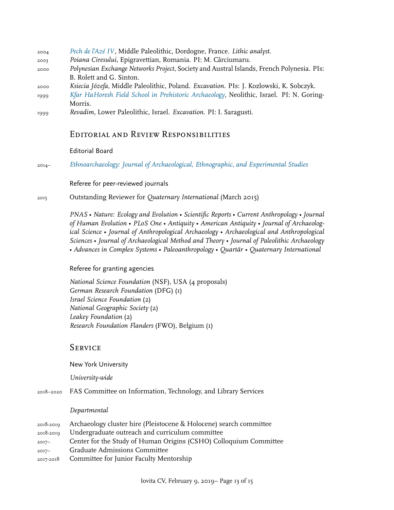- 2004 *[Pech de l'Azé IV](http://www.oldstoneage.com/pechiv/default.shtml)*, Middle Paleolithic, Dordogne, France. *Lithic analyst*.
- 2003 *Poiana Ciresului*, Epigravettian, Romania. PI: M. Cârciumaru.
- 2000 *Polynesian Exchange Networks Project*, Society and Austral Islands, French Polynesia. PIs: B. Rolett and G. Sinton.
- 2000 *Ksiecia Józefa*, Middle Paleolithic, Poland. *Excavation*. PIs: J. Kozlowski, K. Sobczyk.
- 1999 *[Kfar HaHoresh Field School in Prehistoric Archaeology](http://khh.wiki.huji.ac.il/index.php/Main_Page)*, Neolithic, Israel. PI: N. Goring-Morris.
- 1999 *Revadim*, Lower Paleolithic, Israel. *Excavation*. PI: I. Saragusti.

# Editorial and Review Responsibilities

## Editorial Board

2014– *[Ethnoarchaeology: Journal of Archaeological, Ethnographic, and Experimental Studies](http://www.maneypublishing.com/index.php/journals/eth/)*

## Referee for peer-reviewed journals

2015 Outstanding Reviewer for *Quaternary International* (March 2015)

*PNAS* • *Nature: Ecology and Evolution* • *Scientific Reports* • *Current Anthropology* • *Journal of Human Evolution* • *PLoS One* • *Antiquity* • *American Antiquity* • *Journal of Archaeological Science* • *Journal of Anthropological Archaeology* • *Archaeological and Anthropological Sciences* • *Journal of Archaeological Method and Theory* • *Journal of Paleolithic Archaeology* • *Advances in Complex Systems* • *Paleoanthropology* • *Quartär* • *Quaternary International*

## Referee for granting agencies

*National Science Foundation* (NSF), USA (4 proposals) *German Research Foundation* (DFG) (1) *Israel Science Foundation* (2) *National Geographic Society* (2) *Leakey Foundation* (2) *Research Foundation Flanders* (FWO), Belgium (1)

# **SERVICE**

New York University

*University-wide*

2018–2020 FAS Committee on Information, Technology, and Library Services

## *Departmental*

|           | 2018-2019 Archaeology cluster hire (Pleistocene & Holocene) search committee |
|-----------|------------------------------------------------------------------------------|
| 2018-2019 | Undergraduate outreach and curriculum committee                              |
| $2017 -$  | Center for the Study of Human Origins (CSHO) Colloquium Committee            |
| $2017 -$  | <b>Graduate Admissions Committee</b>                                         |
|           | 2017-2018 Committee for Junior Faculty Mentorship                            |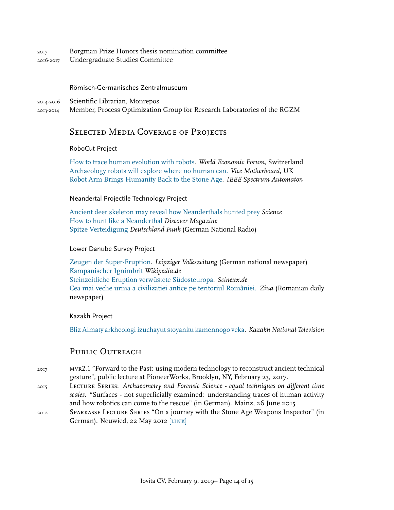2017 Borgman Prize Honors thesis nomination committee 2016-2017 Undergraduate Studies Committee

#### Römisch-Germanisches Zentralmuseum

2014-2016 Scientific Librarian, Monrepos

2013-2014 Member, Process Optimization Group for Research Laboratories of the RGZM

## SELECTED MEDIA COVERAGE OF PROJECTS

### RoboCut Project

[How to trace human evolution with robots](https://www.weforum.org/agenda/2015/04/how-to-trace-human-evolution-with-robots/). *World Economic Forum*, Switzerland [Archaeology robots will explore where no human can.](http://motherboard.vice.com/read/indiana-robot) *Vice Motherboard*, UK [Robot Arm Brings Humanity Back to the Stone Age.](http://spectrum.ieee.org/automaton/robotics/diy/robot-arm-brings-humanity-back-to-the-stone-age) *IEEE Spectrum Automaton*

#### Neandertal Projectile Technology Project

[Ancient deer skeleton may reveal how Neanderthals hunted prey](https://www.sciencemag.org/news/2018/06/ancient-deer-skeleton-may-reveal-how-neanderthals-hunted-prey) *Science* [How to hunt like a Neanderthal](http://blogs.discovermagazine.com/deadthings/2018/06/25/hunt-like-neanderthal/) *Discover Magazine* [Spitze Verteidigung](http://www.dradio.de/dlf/sendungen/forschak/1833280/) *Deutschland Funk* (German National Radio)

#### Lower Danube Survey Project

[Zeugen der Super-Eruption](http://www.lvz.de/Leipzig/Bildung/Zeugen-der-Super-Eruption-Forscher-spueren-Vulkanausbruch-vor-rund-40000-Jahren-nach). *Leipziger Volkszeitung* (German national newspaper) [Kampanischer Ignimbrit](https://de.wikipedia.org/wiki/Kampanischer_Ignimbrit#cite_ref-6) *Wikipedia.de* [Steinzeitliche Eruption verwüstete Südosteuropa](http://www.scinexx.de/newsletter-wissen-aktuell-16352-2013-07-03.html). *Scinexx.de* [Cea mai veche urma a civilizatiei antice pe teritoriul României.](http://www.ziuaconstanta.ro/rubrici/ziua-satelor/cea-mai-veche-urma-a-civilizatie-antice-pe-teritoriul-romaniei-descoperire-arheologica-de-exceptie-la-pestera-16980.html) *Ziua* (Romanian daily newspaper)

#### Kazakh Project

[Bliz Almaty arkheologi izuchayut stoyanku kamennogo veka](http://www.zakon.kz/kazakhstan/4557038-bliz-almaty-arkheologi-izuchajut.html). *Kazakh National Television*

# PUBLIC OUTREACH

- <sup>2017</sup> mvr2.1 "Forward to the Past: using modern technology to reconstruct ancient technical gesture", public lecture at PioneerWorks, Brooklyn, NY, February 23, 2017.
- <sup>2015</sup> Lecture Series: *Archaeometry and Forensic Science equal techniques on different time scales*. "Surfaces - not superficially examined: understanding traces of human activity and how robotics can come to the rescue" (in German). Mainz, 26 June 2015
- <sup>2012</sup> Sparkasse Lecture Series "On a journey with the Stone Age Weapons Inspector" (in German). Neuwied, 22 May 2012 [LINK]